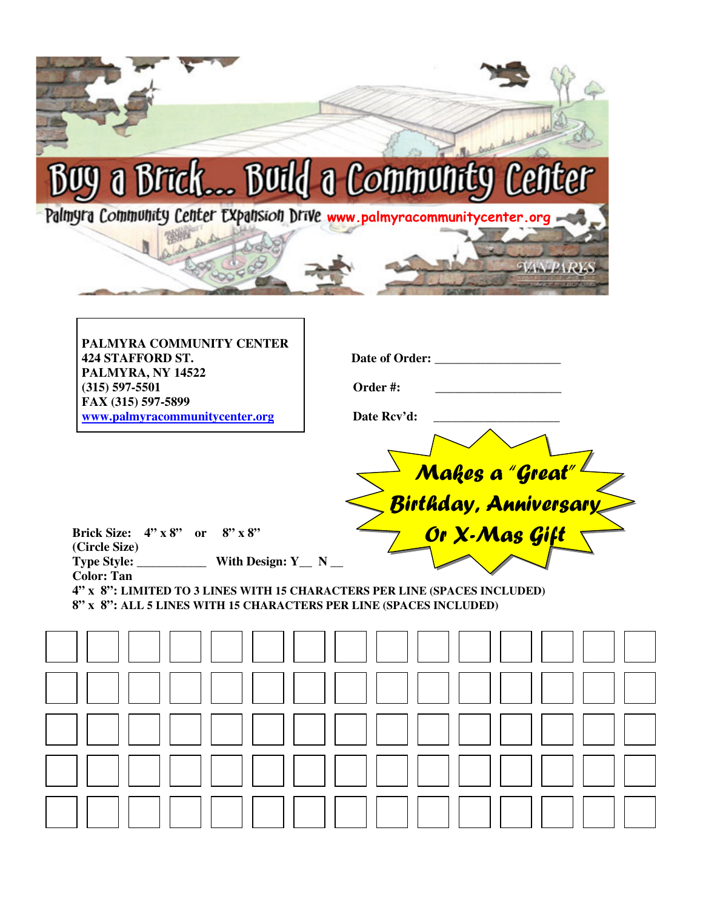| Palmyra Community Center Expansion Drive www.palmyracommunitycenter.org                                                                                                                      | <b>y</b> a Brick Build a Community Center                                      |
|----------------------------------------------------------------------------------------------------------------------------------------------------------------------------------------------|--------------------------------------------------------------------------------|
| PALMYRA COMMUNITY CENTER<br><b>424 STAFFORD ST.</b><br>PALMYRA, NY 14522<br>$(315)$ 597-5501<br>FAX (315) 597-5899<br>www.palmyracommunitycenter.org                                         | Date of Order:<br>Order#:<br>Date Rcv'd:                                       |
| <b>Brick Size:</b><br>$4'' \times 8''$ or $8'' \times 8''$<br>(Circle Size)                                                                                                                  | Makes a "Great" <sup>L</sup><br><u> Birthday, Anniversary</u><br>Or X-Mas Gift |
| With Design: $Y_N$ N<br><b>Color: Tan</b><br>4" x 8": LIMITED TO 3 LINES WITH 15 CHARACTERS PER LINE (SPACES INCLUDED)<br>8" x 8": ALL 5 LINES WITH 15 CHARACTERS PER LINE (SPACES INCLUDED) |                                                                                |
|                                                                                                                                                                                              |                                                                                |
|                                                                                                                                                                                              |                                                                                |
|                                                                                                                                                                                              |                                                                                |